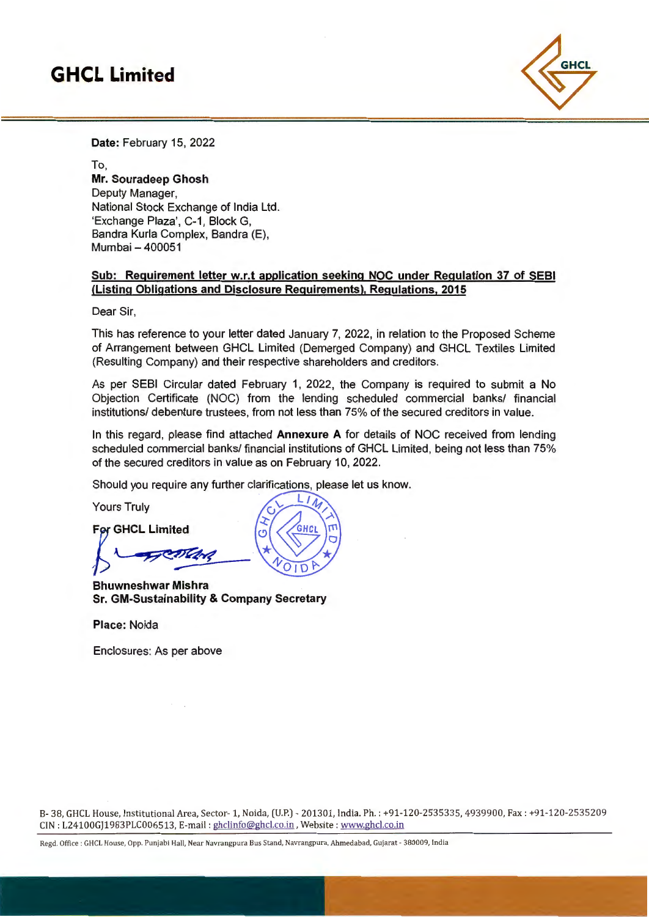## **GHCL Limited**



**Date:** February 15, 2022

To, **Mr. Souradeep Ghosh**  Deputy Manager, National Stock Exchange of India Ltd. 'Exchange Plaza', C-1, Block G, Bandra Kurla Complex, Bandra (E), Mumbai - 400051

### **Sub: Requirement letter w.r.t application seeking NOC under Regulation 37 of SEBI (Listing Obligations and Disclosure Requirements), Regulations, 2015**

Dear Sir,

This has reference to your letter dated January 7, 2022, in relation to the Proposed Scheme of Arrangement between GHCL Limited (Demerged Company) and GHCL Textiles Limited (Resulting Company) and their respective shareholders and creditors.

As per SEBI Circular dated February 1, 2022, the Company is required to submit a No Objection Certificate (NOC) from the lending scheduled commercial banks/ financial institutions/ debenture trustees, from not less than 75% of the secured creditors in value.

In this regard, please find attached **Annexure A** for details of NOC received from lending scheduled commercial banks/ financial institutions of GHCL Limited, being not less than 75% of the secured creditors in value as on February 10, 2022.

 $L/L$ 

Should you require any further clarifications, please let us know.

Yours Truly

For GHCL Limited  $\sqrt{\frac{GHCL}{100}}$  $\sqrt{2}$  $\frac{1}{\sqrt{1010}}$ 

**Bhuwneshwar Mishra Sr. GM-Sustainability & Company Secretary** 

**Place:** Noida

Enclosures: As per above

8- 38, GHCL House, Institutional Area, Sector- 1, Naida, (U.P.) - 201 301, India. Ph. : +91-12 0-2535335, 4939900, Fax: +91-120-25352 09 CIN : L24100GJ1983PLC006513, E-mail : ghclinfo@ghcl.co.in, Website : www.ghcl.co.in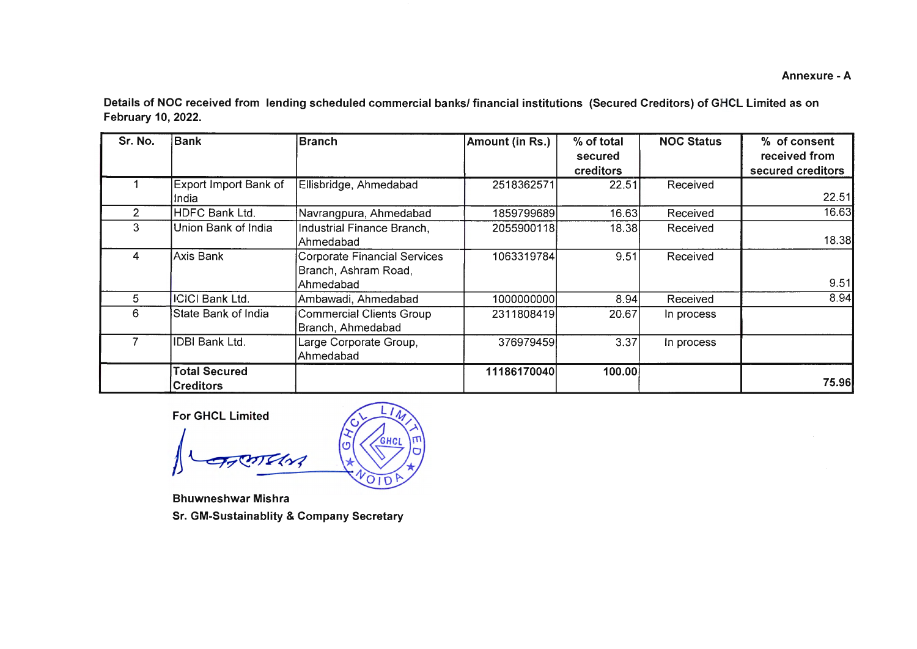**Annexure -A** 

**Details of NOC received from lending scheduled commercial banks/ financial institutions (Secured Creditors) of GHCL Limited as on February 10, 2022.** 

| Sr. No.       | <b>Bank</b>                              | <b>Branch</b>                                                            | Amount (in Rs.) | % of total<br>secured<br>creditors | <b>NOC Status</b> | % of consent<br>received from<br>secured creditors |
|---------------|------------------------------------------|--------------------------------------------------------------------------|-----------------|------------------------------------|-------------------|----------------------------------------------------|
|               | Export Import Bank of<br>India           | Ellisbridge, Ahmedabad                                                   | 2518362571      | 22.51                              | Received          | 22.51                                              |
| $\mathcal{P}$ | HDFC Bank Ltd.                           | Navrangpura, Ahmedabad                                                   | 1859799689      | 16.63                              | Received          | 16.63                                              |
| 3             | Union Bank of India                      | Industrial Finance Branch,<br>Ahmedabad                                  | 2055900118      | 18.38                              | Received          | 18.38                                              |
| 4             | Axis Bank                                | <b>Corporate Financial Services</b><br>Branch, Ashram Road,<br>Ahmedabad | 1063319784      | 9.51                               | Received          | 9.51                                               |
| 5             | <b>ICICI Bank Ltd.</b>                   | Ambawadi, Ahmedabad                                                      | 1000000000      | 8.94                               | Received          | 8.94                                               |
| 6             | State Bank of India                      | <b>Commercial Clients Group</b><br>Branch, Ahmedabad                     | 2311808419      | 20.67                              | In process        |                                                    |
|               | IDBI Bank Ltd.                           | Large Corporate Group,<br>Ahmedabad                                      | 376979459       | 3.37                               | In process        |                                                    |
|               | <b>Total Secured</b><br><b>Creditors</b> |                                                                          | 11186170040     | 100.00                             |                   | 75.96                                              |

**For GHCL Limited** 

т GHCL O And  $OID$ 

**Bhuwneshwar Mishra** 

**Sr. GM-Sustainablity & Company Secretary**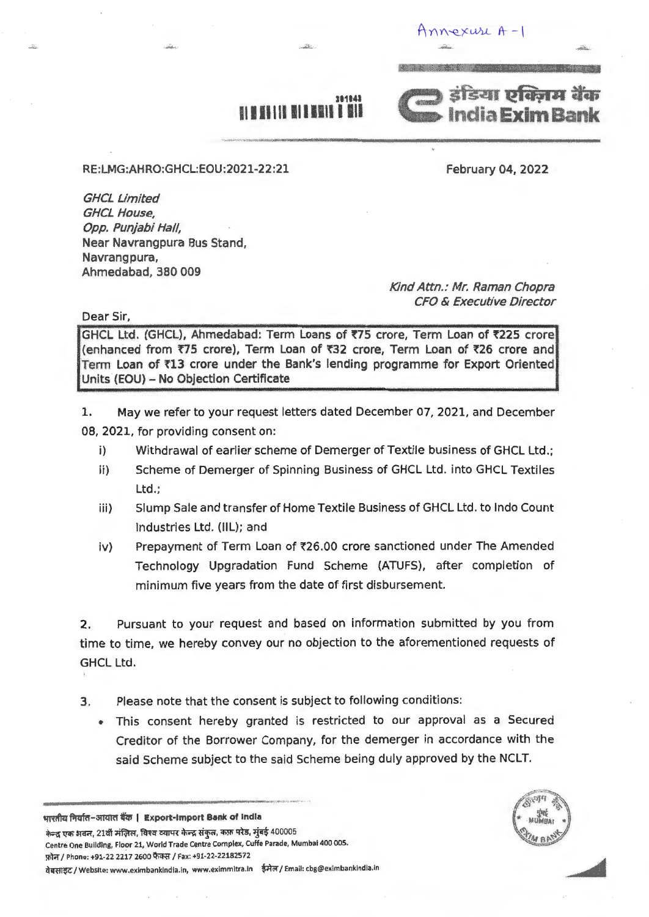$Annexu<sub>u</sub> + -1$ 



# **311141**

..... \_,\_ ..........

RE:LMG:AHRO:GHCL:EOU:2021-22:21

February 04, 2022

GHCL Limited GHCL House, Opp. Punjabi Hal/, Near Navrangpura Bus Stand, Navrangpura, Ahmedabad, 380 009

Kind Attn.: Mr. Raman Chopra CFO & Executive Director

Dear Sir,

GHCL Ltd. (GHCL), Ahmedabad: Term Loans of ₹75 crore, Term Loan of ₹225 crore (enhanced from ₹75 crore), Term Loan of ₹32 crore, Term Loan of ₹26 crore and Term Loan of ₹13 crore under the Bank's lending programme for Export Oriented Units (EOU) - No Objection Certificate

- 1. May we refer to your request letters dated December 07, 2021, and December 08, 2021, for providing consent on:
	- i) Withdrawal of earlier scheme of Demerger of Textile business of GHCL Ltd.;
	- ii) Scheme of Demerger of Spinning Business of GHCL Ltd. into GHCL Textiles Ltd.;
	- iii) Slump Sale and transfer of Home Textile Business of GHCL Ltd. to lndo Count Industries Ltd. (Ill); and
	- iv) Prepayment of Term Loan of ₹26.00 crore sanctioned under The Amended Technology Upgradation Fund Scheme (ATUFS), after completion of minimum five years from the date of first disbursement.

2. Pursuant to your request and based on information submitted by you from time to time, we hereby convey our no objection to the aforementioned requests of GHCL Ltd.

- 3. Please note that the consent is subject to following conditions:
	- This consent hereby granted is restricted to our approval as a Secured Creditor of the Borrower Company, for the demerger in accordance with the said Scheme subject to the said Scheme being duly approved by the NCLT.

........................................................................................ ~~~~~ भारतीय निर्यात-आयात बैंक | Export-Import Bank of India

केन्द्र एक भवन, 21वीं मंज़िल, विश्व व्यापर केन्द्र संकुल, कफ़ परेड, मुंबई 400005 Centre One Buildlng, Floor 21, World Trade Centre Complex, Cuffe Parade, Mumbai 400 005. फ़ोन / Phone: +91-22 2217 2600 फैक्स / Fax: +91-22-22182572 वेबसाइट / Website: www.eximbankindia.in, www.eximmitra.in ईमेल / Email: cbg@eximbankindia.in

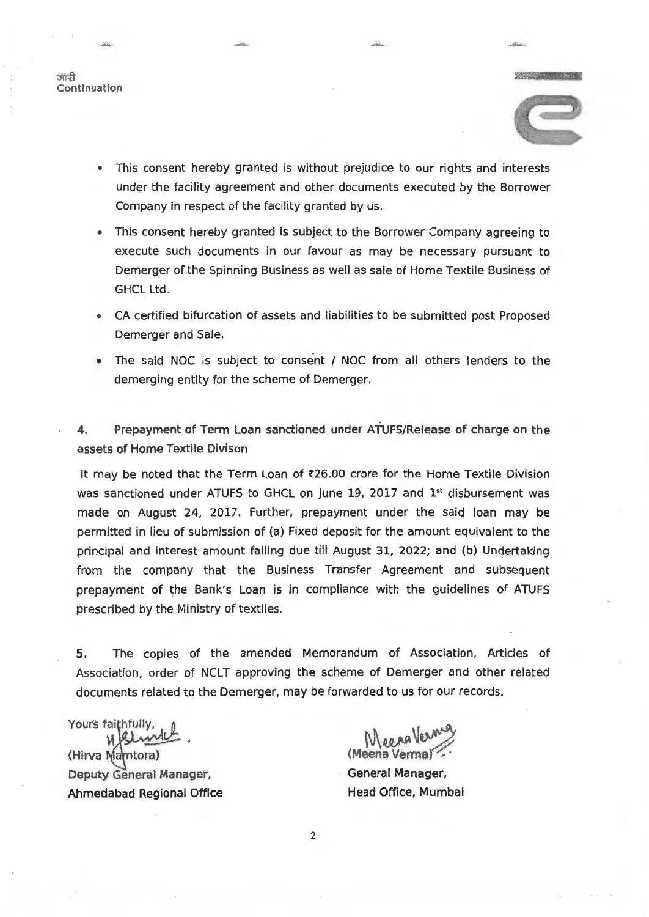जानी **Continuation** 



""""" ........

• This consent hereby granted is without prejudice to our rights and interests under the facility agreement and other documents executed by the Borrower Company in respect of the facility granted by us.

<sup>~</sup>

- This consent hereby granted is subject to the Borrower Company agreeing to execute such documents in our favour as may be necessary pursuant to Demerger of the Spinning Business as well as sale of Home Textile Business of GHCL Ltd.
- CA certified bifurcation of assets and liabilities to be submitted post Proposed Demerger and Sale.
- The said NOC is subject to consent / NOC from all others lenders to the demerging entity for the scheme of Demerger.

4. Prepayment of Term Loan sanctioned under ATUFS/Release of charge on the assets of Home Textile Divison

It may be noted that the Term Loan of ₹26.00 crore for the Home Textile Division was sanctioned under ATUFS to GHCL on June 19, 2017 and  $1<sup>st</sup>$  disbursement was made on August 24, 2017. Further, prepayment under the said loan may be permitted in lieu of submission of (a) Fixed deposit for the amount equivalent to the principal and interest amount falling due till August 31, 2022; and (b) Undertaking from the company that the Business Transfer Agreement and subsequent prepayment of the Bank's Loan is in compliance with the guidelines of ATUFS prescribed by the Ministry of textiles.

S. The copies of the amended Memorandum of Association, Articles of Association, order of NCLT approving the scheme of Demerger and other related documents related to the Demerger, may be forwarded to us for our records.

Yours faithfully, (Hirva Mamtora) Deputy General Manager, Ahmedabad Regional Office

(Meena Verma) Meera Vermis

General Manager, Head Office, Mumbai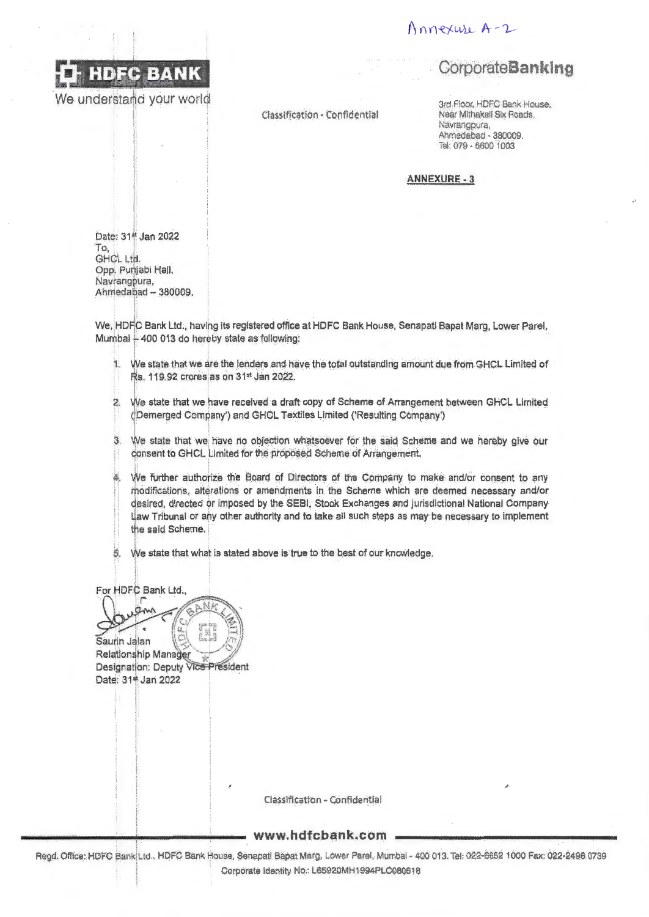

We understand your world

Classification - Confidential

### Annexure A-2

### Corporate**Banking**

3rd Floor, HDFC Bank House, Near Mithakali Six Roads, Navrangpura, Ahmedabad - 380009. Tel: 079 - 6600 1003

**ANNEXURE - 3** 

Date: 314 Jan 2022 To, GHCL Ltd. Opp. Punjabi Hall, Navrangpura, Ahmedabad - 380009.

We, HDFC Bank Ltd., having its registered office at HDFC Bank House, Senapati Bapat Marg, Lower Parel, Mumbai - 400 013 do hereby state as following:

- 1. We state that we are the lenders and have the total outstanding amount due from GHCL Limited of Rs. 119.92 crores as on 31st Jan 2022.
- 2. We state that we have received a draft copy of Scheme of Arrangement between GHCL Limited (Demerged Company') and GHCL Textiles Limited ('Resulting Company')
- 3. We state that we have no objection whatsoever for the said Scheme and we hereby give our consent to GHCL Limited for the proposed Scheme of Arrangement.
- We further authorize the Board of Directors of the Company to make and/or consent to any modifications, alterations or amendments in the Scheme which are deemed necessary and/or desired, directed or imposed by the SEBI, Stock Exchanges and jurisdictional National Company Law Tribunal or any other authority and to take all such steps as may be necessary to implement the said Scheme.
- We state that what is stated above is true to the best of our knowledge. В.

For HDFC Bank Ltd.,

 $\sigma_{\rm v}$ Saurin Jalan Relationship Manager Designation: Deputy Vice President Date: 31\* Jan 2022

Classification - Confidential

www.hdfcbank.com .

Regd. Office: HDFC Bank Ltd., HDFC Bank House, Senapati Bapat Marg, Lower Parel, Mumbai - 400 013. Tel: 022-6652 1000 Fax: 022-2496 0739 Corporate Identity No.: L65920MH1994PLC080618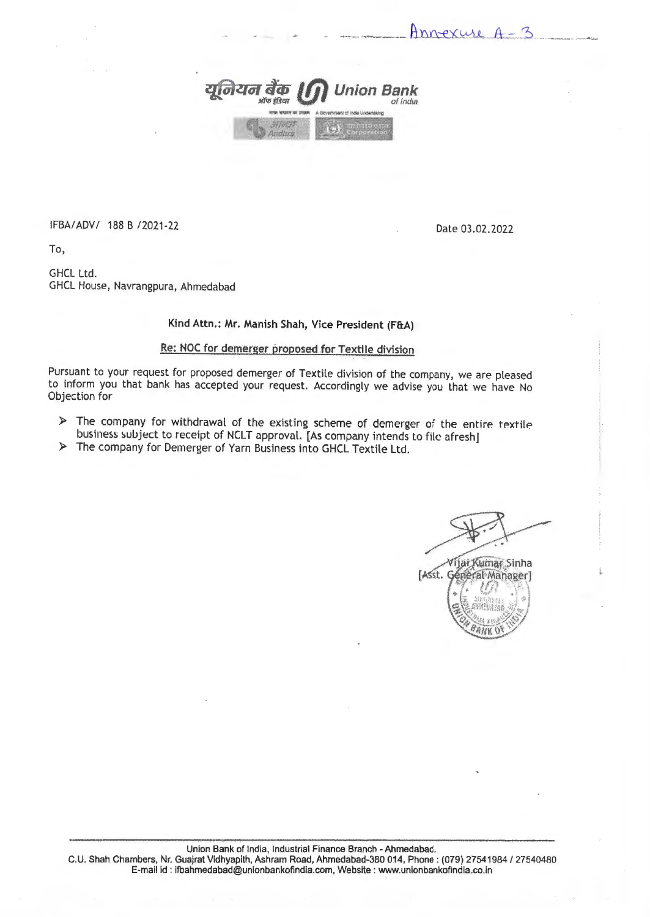

IFBA/ADV/ 188 B /2021-22 Date 03.02.2022

Annexure A-3

To,

GHCL Ltd. GHCL House, Navrangpura, Ahmedabad

### Kind Attn.: Mr. Manish Shah, Vice President (F&A)

### Re: NOC for demerger proposed for Textile division

Pursuant to your request for proposed demerger of Textile division of the company, we are pleased to inform you that bank has accepted your request. Accordingly we advise you that we have No Objection for

- $\triangleright$  The company for withdrawal of the existing scheme of demerger of the entire textile business subject to receipt of NCLT approval. [As company intends to file afresh]
- > The company for Demerger of Yarn Business into GHCL Textile Ltd.

Vijar Kumar Sinha [Asst. Général Manager]

ênv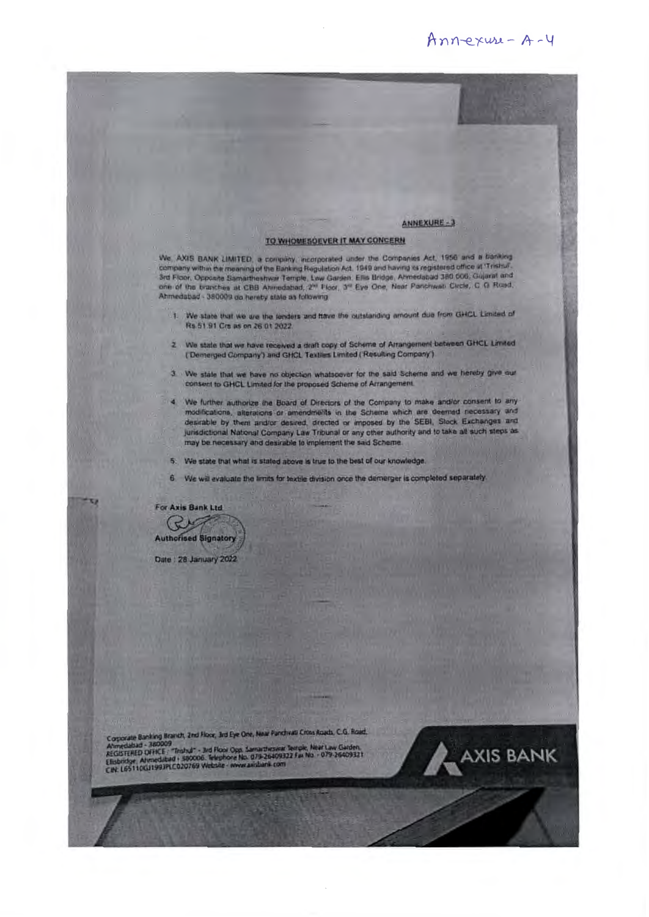### Annexuse - A-4

#### ANNEXURE-3

#### TO WHOMESOEVER IT MAY CONCERN

We. AXIS BANK LIMITED, a company, incorporated under the Companies Act, 1956 and a banking<br>company within the meaning of the Banking Regulation Act, 1949 and having its registered office at Trishal.<br>3rd Floor, Opposite Sam Ahmedabad - 380009 do hereby state as following.

- 1. We state that we are the lenders and flave the outstanding amount due from GHCL Limited of Rs 51.91 Crs as on 26 01 2022.
- 2. We state that we have received a draft copy of Scheme of Arrangement between GHCL Limited (Demerged Company') and GHCL Textiles Limited (Resulting Company')
- 3. We state that we have no objection whatsoever for the said Scheme and we hereby give our consent to GHCL Limited for the proposed Scheme of Arrangement.
- 4 We further authorize the Board of Directors of the Company to make and/or consent to any modifications, alterations or amendments in the Scheme which are deemed necessary and desirable by them and/or desired, directed or imposed by the SEBI, Slock Exchanges and jurisdictional National Company Law Tribunal or any other authority and to take all such steps as may be necessary and desirable to implement the said Scheme.
	- 5. We state that what is stated above is true to the best of our knowledge.
- 6 We will evaluate the limits for textile division once the demerger is completed separately.

For Axis Bank Ltd CUT **Authorised Signatory** 

Date : 28 January 2022

Corporate Banking Branch, 2nd Floor, 3rd Eye One, Near Fanchyati Cross Roach, C.G. Road,

Ahmedaldad - 380009<br>REGISTERED OFFICE : "Thahul" - 3rd Floor Opp. Samarthesikar Terrole, Near Law Garden,<br>Elisbridge, Ahmedaltad + 380000. Telephone No. 079-26409322 Fax No. - 079-26409321<br>CIN: L65110G11993PLC020769 Websit

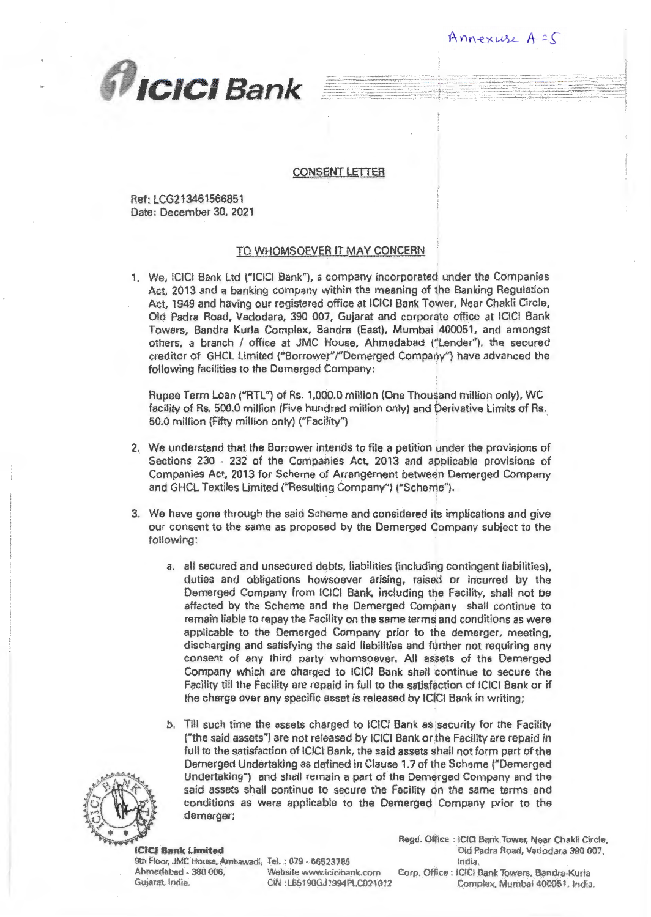

### CONSENT LETTER

Ref: LCG213461566851 Date: December 30, 2021

### TO WHOMSOEVER IT MAY CONCERN

1. We, ICICI Bank Ltd {"ICICI Bank"), a company incorporated under the Companies Act, 2013 and a banking company within the meaning of the Banking Regulation Act, 1949 and having our registered office at ICICI Bank Tower, Near Chakli Circle, Old Padra Road, Vadodara, 390 007, Gujarat and corporate office at ICICI Bank Towers, Sandra Kurla Complex, Sandra (East), Mumbai '400051, and amongst others, a branch / office at JMC House, Ahmedabad ("Lender"), the secured creditor of GHCL limited ("Borrower"/"Demerged Company") have advanced the following facilities to the Demerged Company:

Rupee Term Loan ("RTL") of Rs. 1,000.0 million (One Thousand million only), WC facility of Rs. 500.0 million (Five hundred million only) and Derivative Limits of Rs. 50.0 million (Fifty million only) ("Facility")

- 2. We understand that the Borrower intends to file a petition under the provisions of Sections 230 - 232 of the Companies Act, 2013 and applicable provisions of Companies Act, 2013 for Scheme of Arrangement between Demerged Company and GHCL Textiles Limited ("Resulting Company") ("Scheme").
- 3. We have gone through the said Scheme and considered its implications and give our consent to the same as proposed by the Demerged Company subject to the following;
	- a. all secured and unsecured debts, liabilities (including contingent liabilities), duties and obligations howsoever arising, raised or incurred by the Demerged Company from ICICI Bank, including the Facility, shall not be affected by the Scheme and the Demerged Company shall continue to remain liable to repay the Facility on the same terms and conditions as were applicable to the Demerged Company prior to the demerger, meeting, discharging and satisfying the said liabilities and turther not requiring any consent of any third party whomsoever. All assets of the Demerged Company which are charged to ICICl Bank shall continue to secure the Facility till the Facility are repaid in full to the satisfaction of ICICI Bank or if the charge over any specific asset is released by ICICI Bank in writing;
	- b, Till such time the assets charged to ICICI Bank as security for the Facility ("the said assets") are not released by ICICI Bank or the Facility are repaid in full to the satisfaction of IClCI Bank, the said assets shall not form part of the Demerged Undertaking as defined in Clause 1.7 of the Scheme ("Demerged Undertaking") and shall remain a part of the Demerged Company and the said assets shall continue to secure the Facility on the same terms and conditions as were applicable to the Demerged Company prior to the demergar;



9th Floor. JMC House, Ambawadi. TeL : 079 - 66523786 India. Ahmedabad - 380 006, **Website www.icicibank.com** Corp. Office : ICICI Bank Towers, Bandra-Kurla

Regd. Office : ICICI Bank Tower, Near Chakli Circle, ICICJ Rank Limited Old Patlra Road, Vadodara 39{) 007,

Annexuse A = 5

...... \_\_\_\_ ····-······-··

Gujarat. India. C!N :L65190GJ1994PLC021012 Complex, Mumbai 400051, India